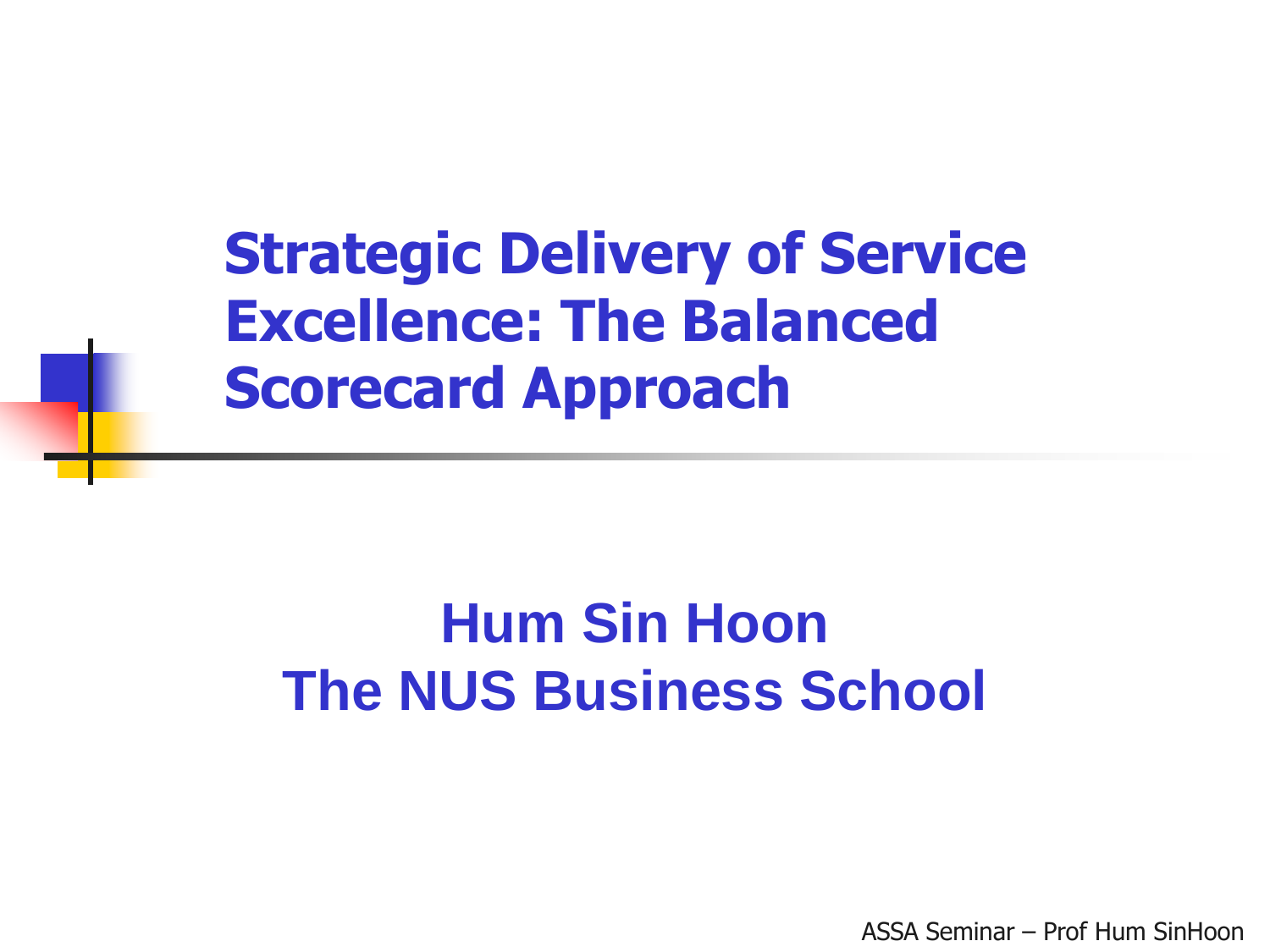**Strategic Delivery of Service Excellence: The Balanced Scorecard Approach** 

### **Hum Sin Hoon The NUS Business School**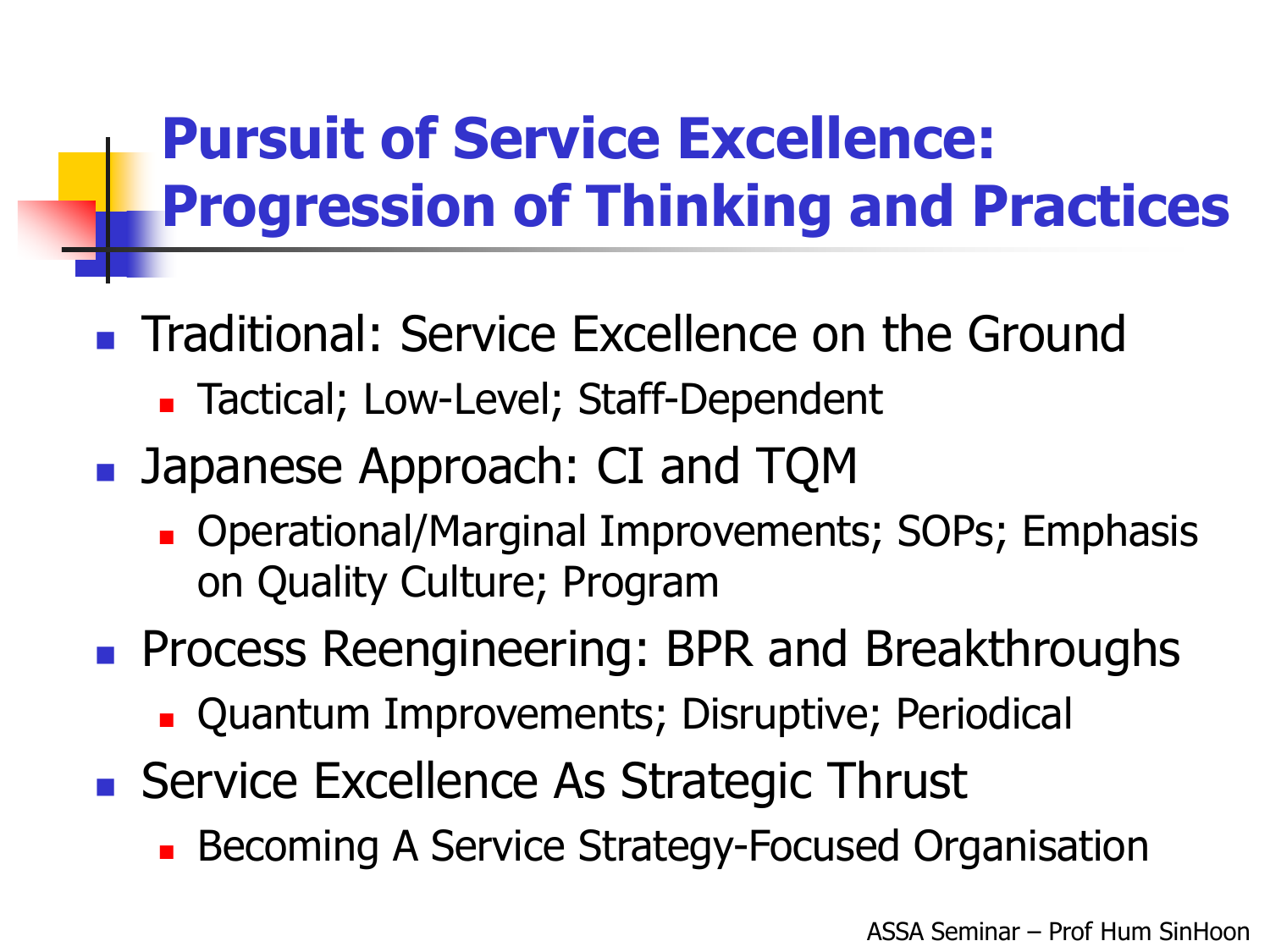## **Pursuit of Service Excellence: Progression of Thinking and Practices**

- **Traditional: Service Excellence on the Ground** 
	- **Tactical; Low-Level; Staff-Dependent**
- Japanese Approach: CI and TQM
	- **Derational/Marginal Improvements; SOPs; Emphasis** on Quality Culture; Program
- **Process Reengineering: BPR and Breakthroughs** 
	- **Quantum Improvements; Disruptive; Periodical**
- Service Excellence As Strategic Thrust
	- **Becoming A Service Strategy-Focused Organisation**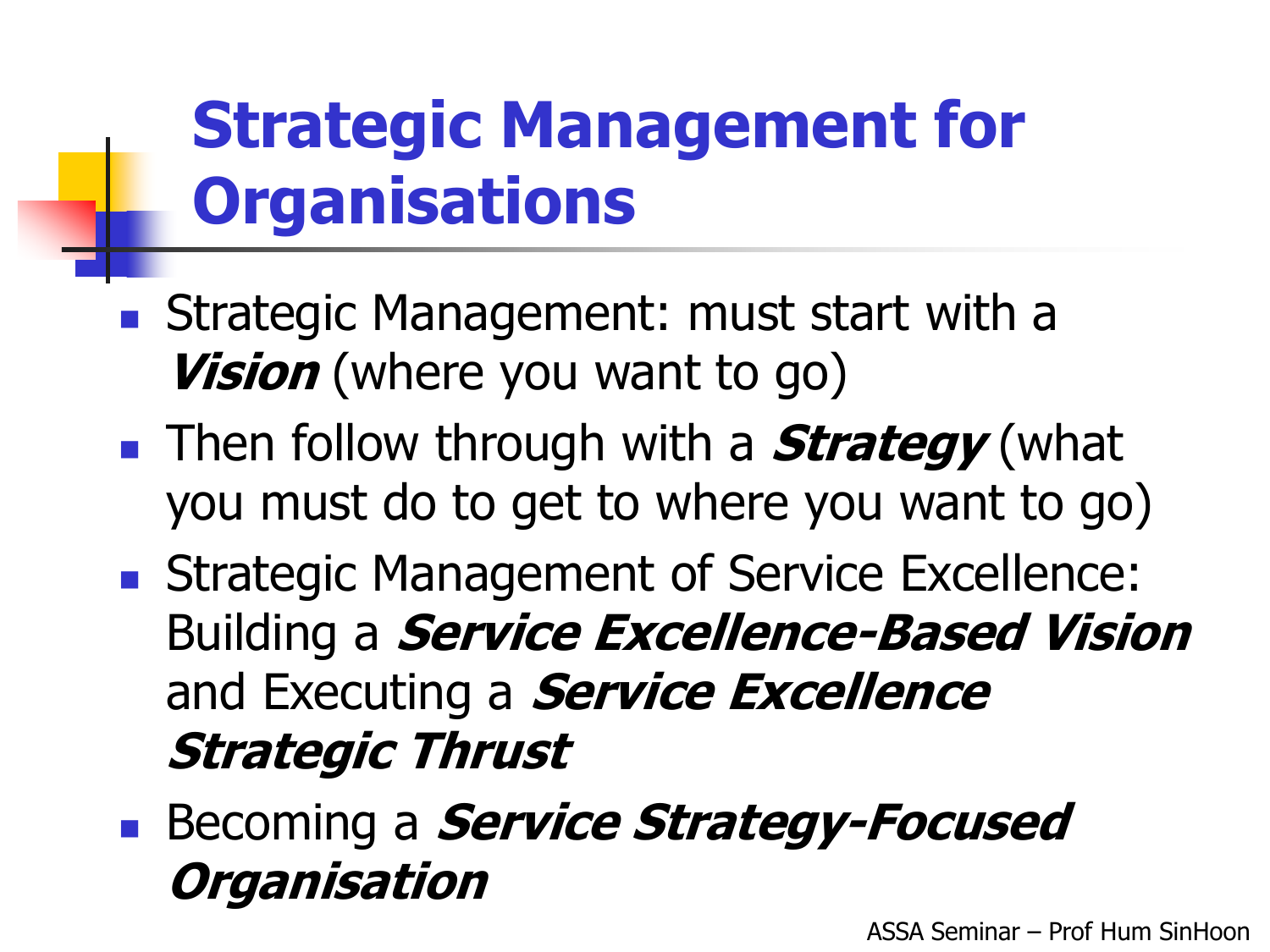## **Strategic Management for Organisations**

- **Strategic Management: must start with a Vision** (where you want to go)
- **Then follow through with a <b>Strategy** (what you must do to get to where you want to go)
- **Strategic Management of Service Excellence:** Building a **Service Excellence-Based Vision**  and Executing a **Service Excellence Strategic Thrust**
- **Becoming a** *Service Strategy-Focused* **Organisation**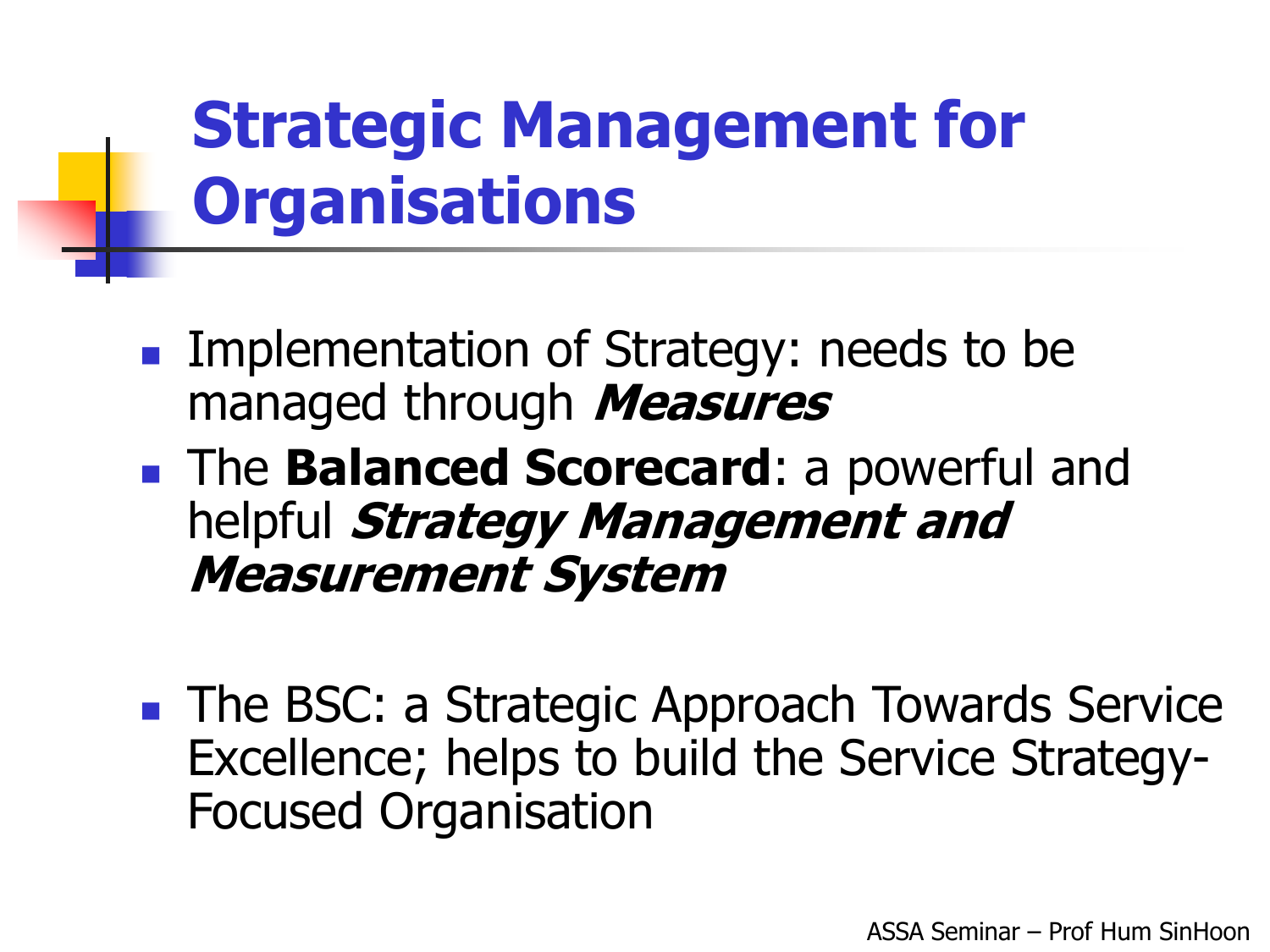## **Strategic Management for Organisations**

- Implementation of Strategy: needs to be managed through Measures
- **The Balanced Scorecard:** a powerful and helpful Strategy Management and **Measurement System**
- **The BSC: a Strategic Approach Towards Service** Excellence; helps to build the Service Strategy-**Focused Organisation**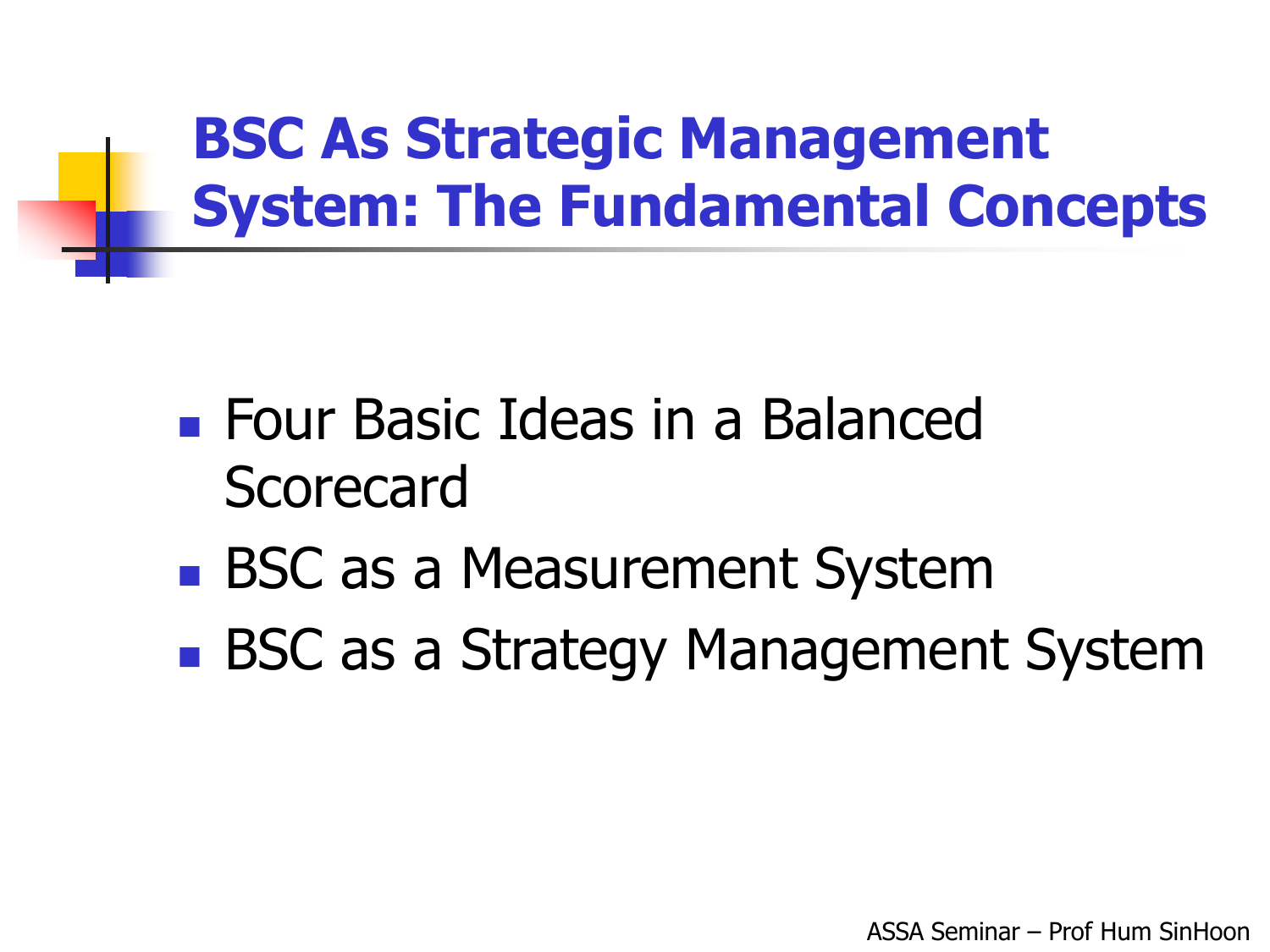## **BSC As Strategic Management System: The Fundamental Concepts**

- **Four Basic Ideas in a Balanced** Scorecard
- **BSC as a Measurement System**
- **BSC as a Strategy Management System**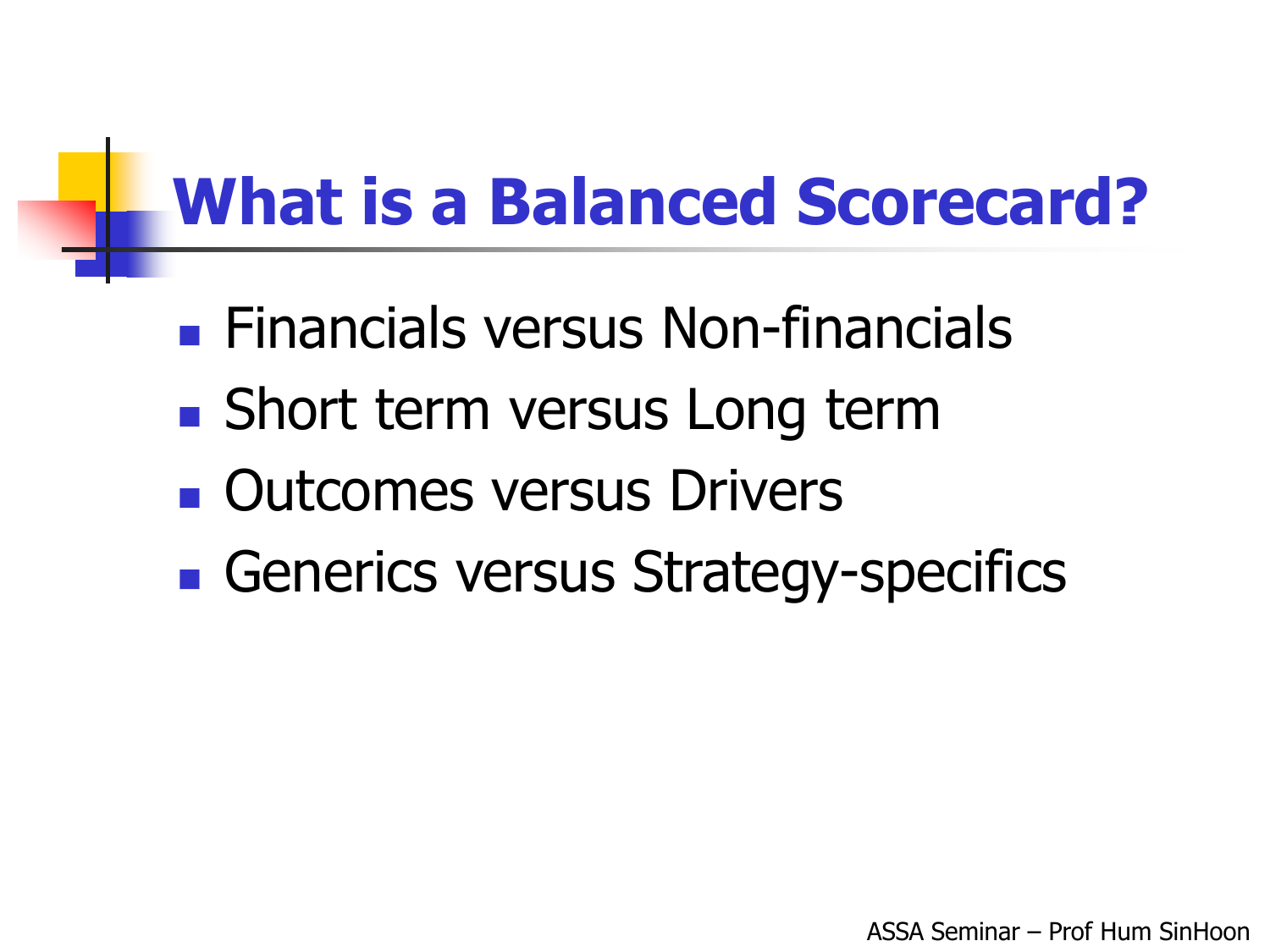## **What is a Balanced Scorecard?**

- **Einancials versus Non-financials**
- Short term versus Long term
- **Qutcomes versus Drivers**
- Generics versus Strategy-specifics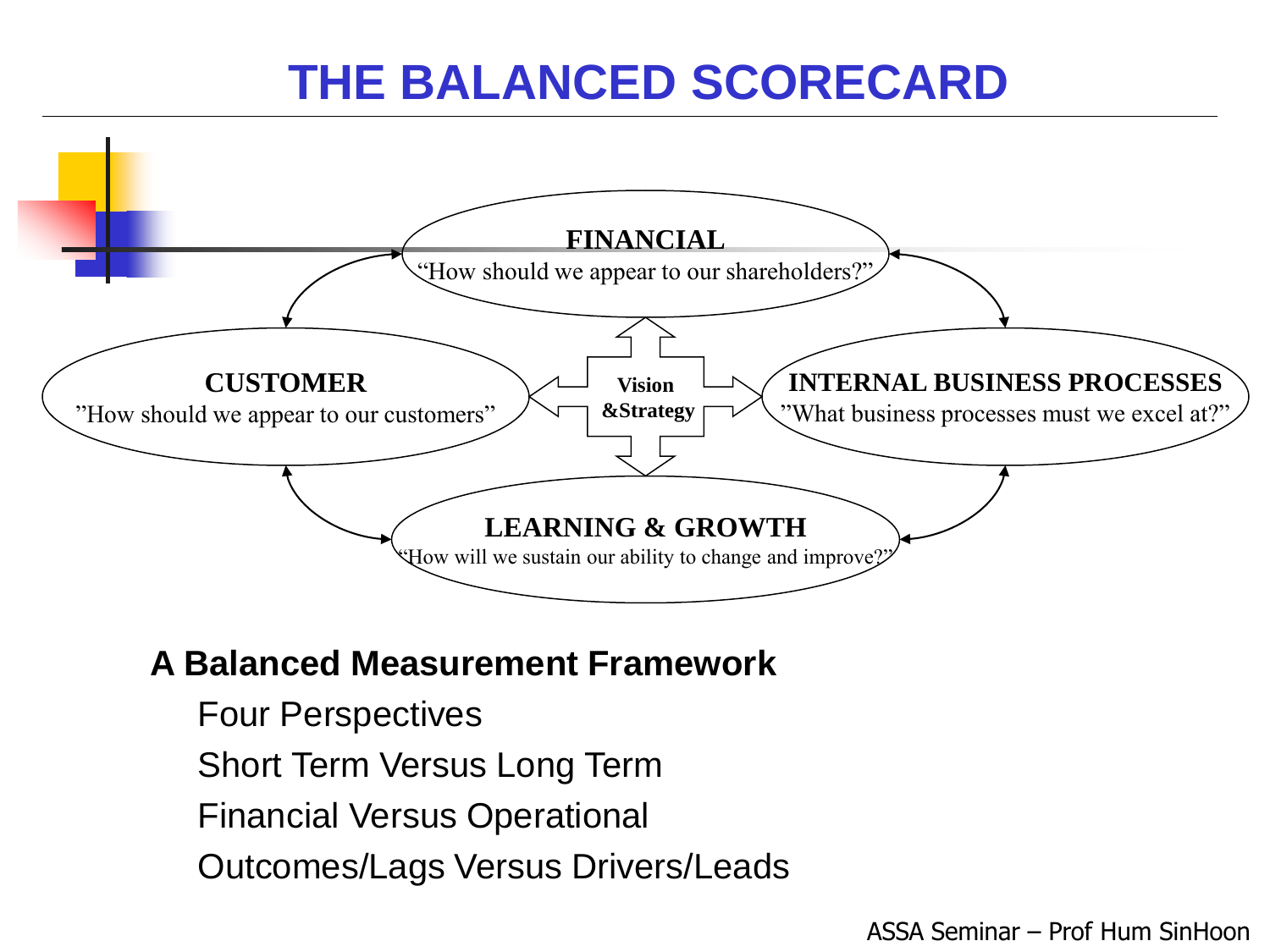

#### **A Balanced Measurement Framework**

- **Four Perspectives**
- **Short Term Versus Long Term**
- **Financial Versus Operational**
- **Outcomes/Lags Versus Drivers/Leads**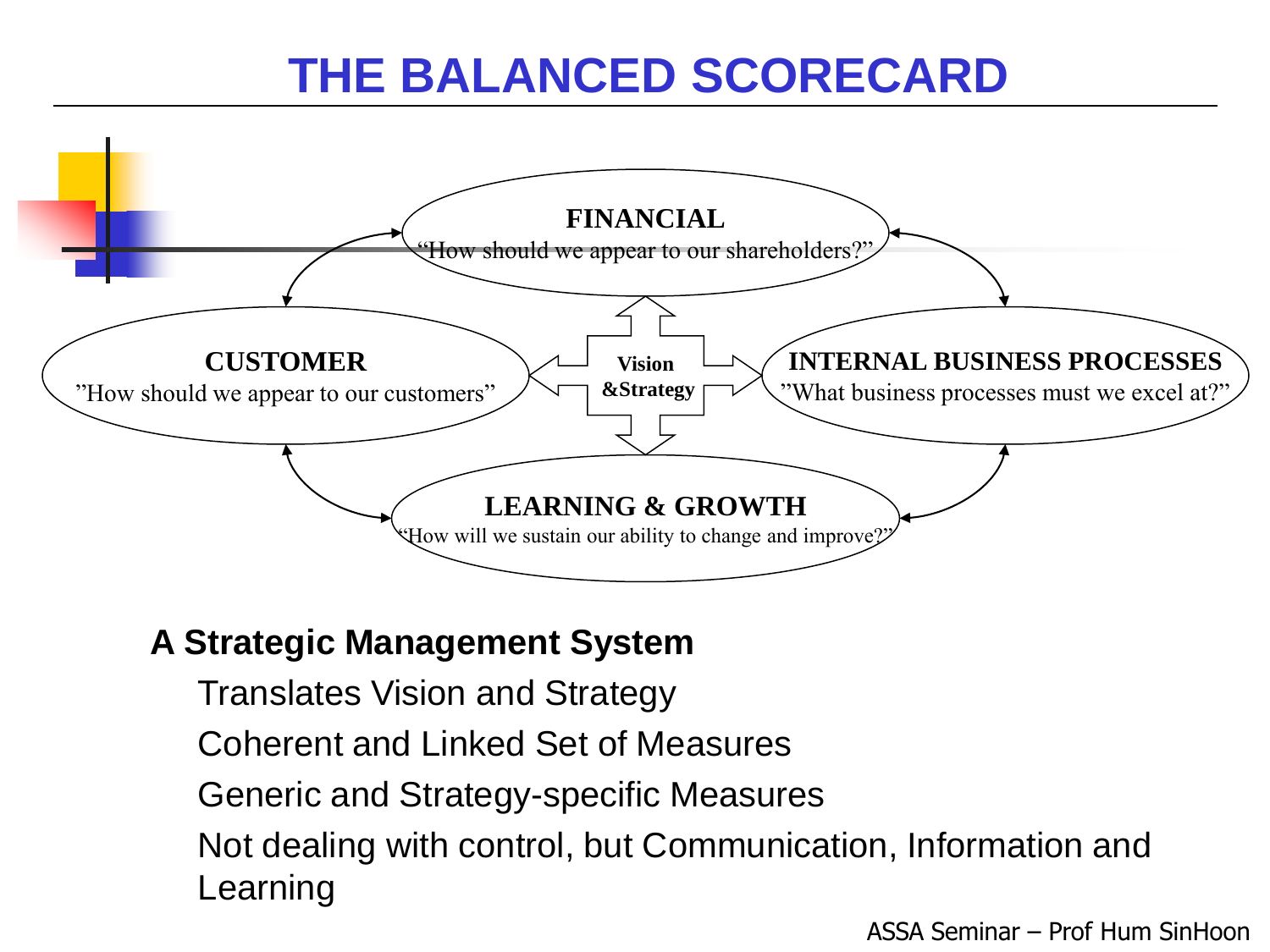

#### **A Strategic Management System**

- **Translates Vision and Strategy**
- **Coherent and Linked Set of Measures**
- **Generic and Strategy-specific Measures**
- Not dealing with control, but Communication, Information and Learning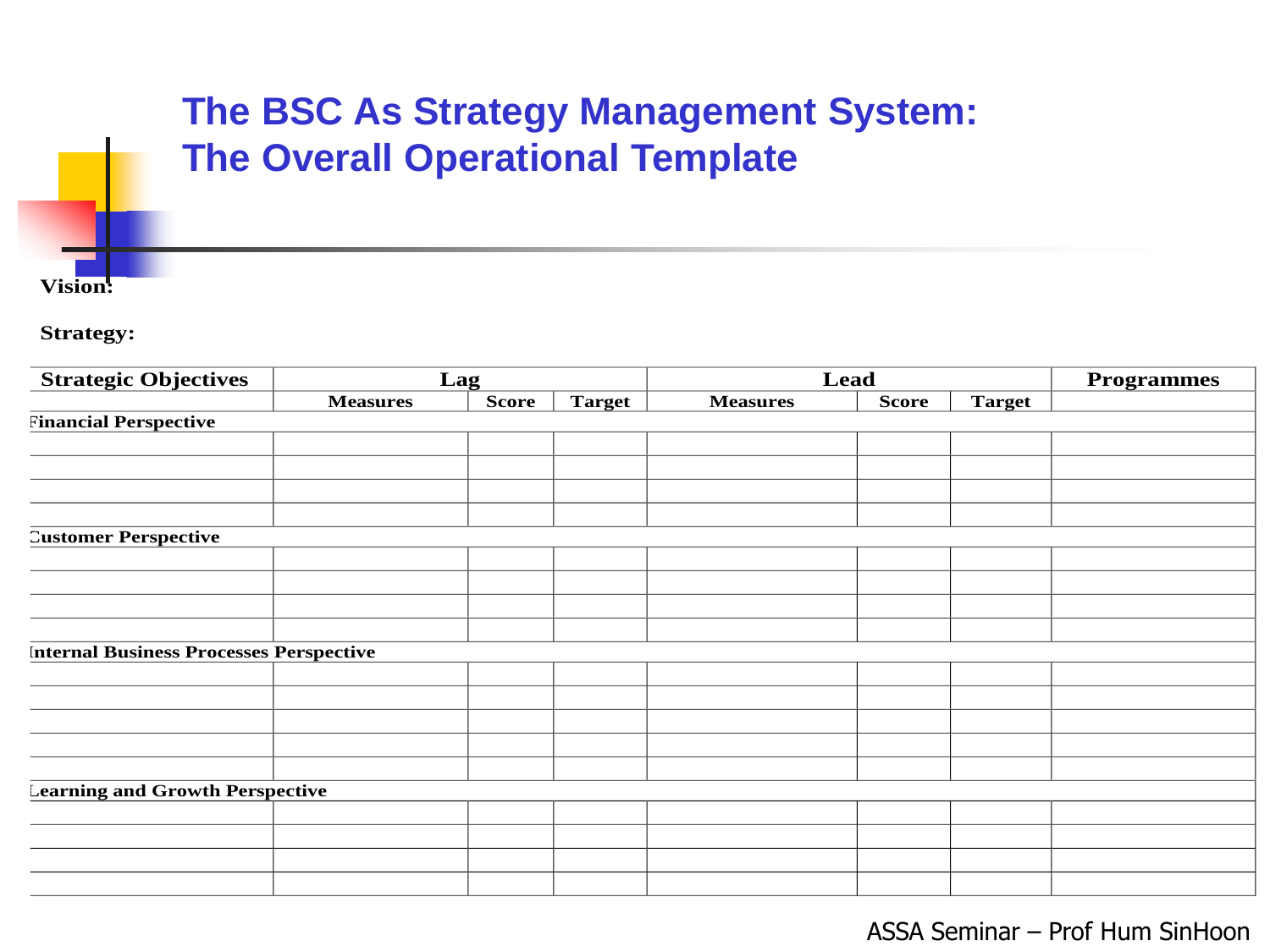#### **The BSC As Strategy Management System: The Overall Operational Template**

**Vision:**

**Strategy:**

| <b>Strategic Objectives</b>                    |                 | Lag          |               | Lead            |              |               | <b>Programmes</b> |
|------------------------------------------------|-----------------|--------------|---------------|-----------------|--------------|---------------|-------------------|
|                                                | <b>Measures</b> | <b>Score</b> | <b>Target</b> | <b>Measures</b> | <b>Score</b> | <b>Target</b> |                   |
| <b>Financial Perspective</b>                   |                 |              |               |                 |              |               |                   |
|                                                |                 |              |               |                 |              |               |                   |
|                                                |                 |              |               |                 |              |               |                   |
|                                                |                 |              |               |                 |              |               |                   |
|                                                |                 |              |               |                 |              |               |                   |
| <b>Customer Perspective</b>                    |                 |              |               |                 |              |               |                   |
|                                                |                 |              |               |                 |              |               |                   |
|                                                |                 |              |               |                 |              |               |                   |
|                                                |                 |              |               |                 |              |               |                   |
|                                                |                 |              |               |                 |              |               |                   |
| <b>Internal Business Processes Perspective</b> |                 |              |               |                 |              |               |                   |
|                                                |                 |              |               |                 |              |               |                   |
|                                                |                 |              |               |                 |              |               |                   |
|                                                |                 |              |               |                 |              |               |                   |
|                                                |                 |              |               |                 |              |               |                   |
|                                                |                 |              |               |                 |              |               |                   |
| <b>Learning and Growth Perspective</b>         |                 |              |               |                 |              |               |                   |
|                                                |                 |              |               |                 |              |               |                   |
|                                                |                 |              |               |                 |              |               |                   |
|                                                |                 |              |               |                 |              |               |                   |
|                                                |                 |              |               |                 |              |               |                   |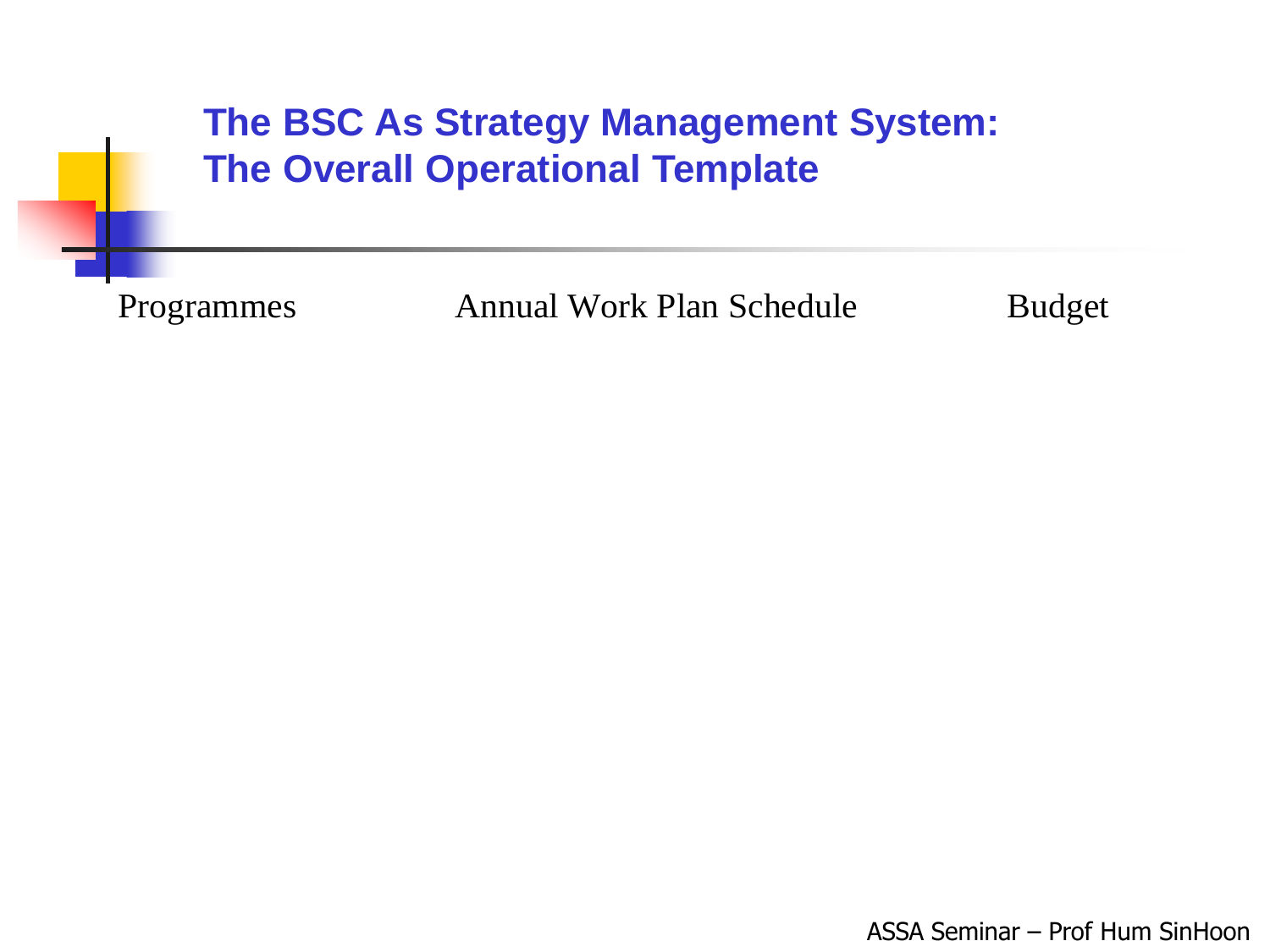#### The BSC As Strategy Management System: **The Overall Operational Template**

Programmes

**Annual Work Plan Schedule** 

**Budget**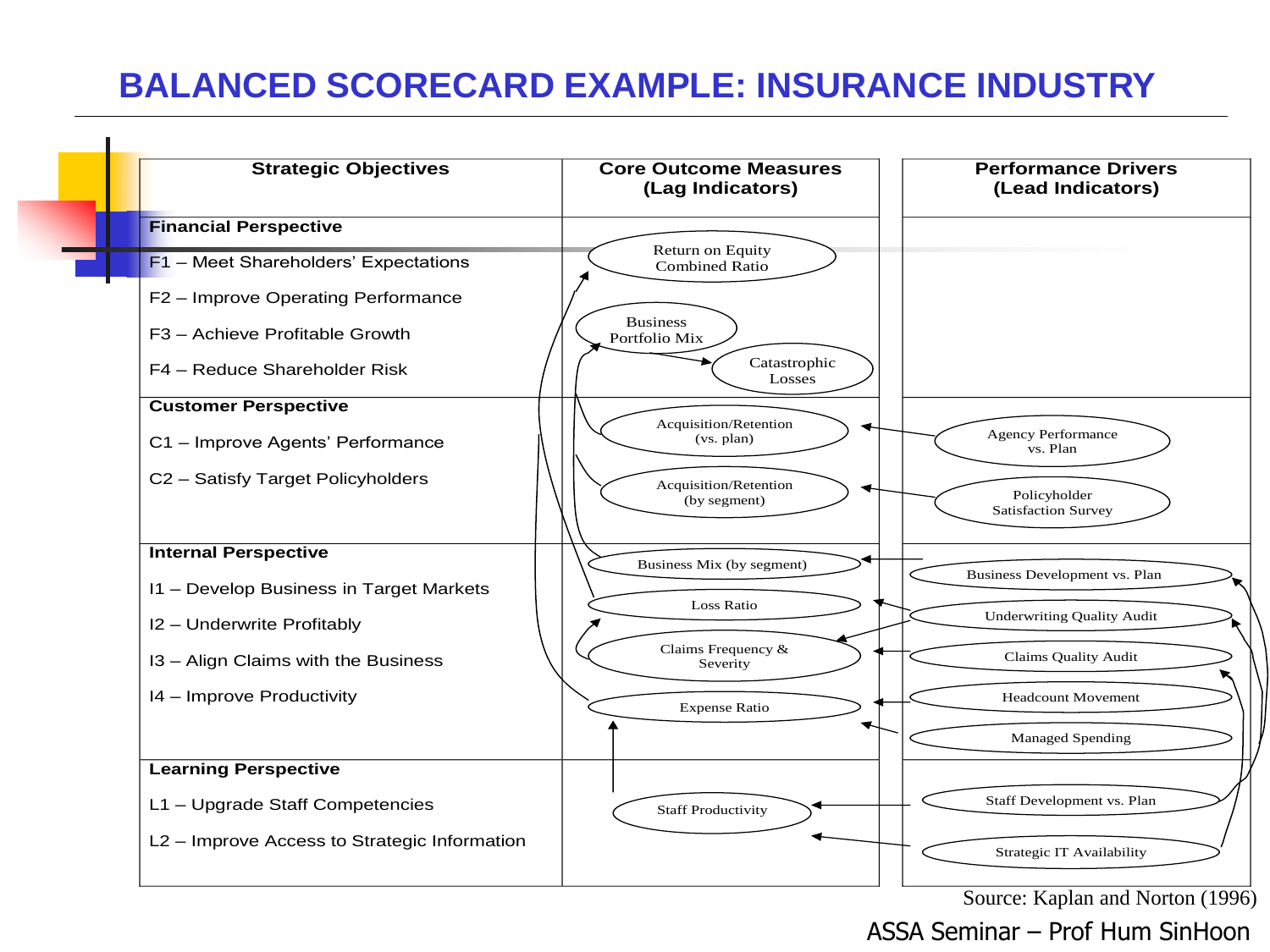#### **BALANCED SCORECARD EXAMPLE: INSURANCE INDUSTRY**

 $\blacksquare$ 

|  | <b>Strategic Objectives</b>                  | <b>Core Outcome Measures</b><br>(Lag Indicators) | <b>Performance Drivers</b><br>(Lead Indicators)    |
|--|----------------------------------------------|--------------------------------------------------|----------------------------------------------------|
|  | <b>Financial Perspective</b>                 |                                                  |                                                    |
|  | F1 - Meet Shareholders' Expectations         | Return on Equity<br><b>Combined Ratio</b>        |                                                    |
|  | F2 - Improve Operating Performance           |                                                  |                                                    |
|  | F3 - Achieve Profitable Growth               | <b>Business</b><br>Portfolio Mix                 |                                                    |
|  | F4 - Reduce Shareholder Risk                 | Catastrophic<br>Losses                           |                                                    |
|  | <b>Customer Perspective</b>                  |                                                  |                                                    |
|  | C1 - Improve Agents' Performance             | Acquisition/Retention<br>(vs. plan)              | <b>Agency Performance</b><br>vs. Plan              |
|  | C2 - Satisfy Target Policyholders            | Acquisition/Retention<br>(by segment)            | Policyholder<br><b>Satisfaction Survey</b>         |
|  | <b>Internal Perspective</b>                  | Business Mix (by segment)                        |                                                    |
|  | 11 - Develop Business in Target Markets      |                                                  | Business Development vs. Plan                      |
|  | I2 - Underwrite Profitably                   | Loss Ratio                                       | <b>Underwriting Quality Audit</b>                  |
|  | I3 - Align Claims with the Business          | Claims Frequency &<br>Severity                   | Claims Quality Audit                               |
|  | 14 - Improve Productivity                    | <b>Expense Ratio</b>                             | <b>Headcount Movement</b>                          |
|  |                                              |                                                  | <b>Managed Spending</b>                            |
|  | <b>Learning Perspective</b>                  |                                                  |                                                    |
|  | L1 - Upgrade Staff Competencies              | <b>Staff Productivity</b>                        | Staff Development vs. Plan                         |
|  | L2 - Improve Access to Strategic Information |                                                  | Strategic IT Availability<br>$\mathbf{r}$<br>1.3.7 |

Source: Kaplan and Norton (1996)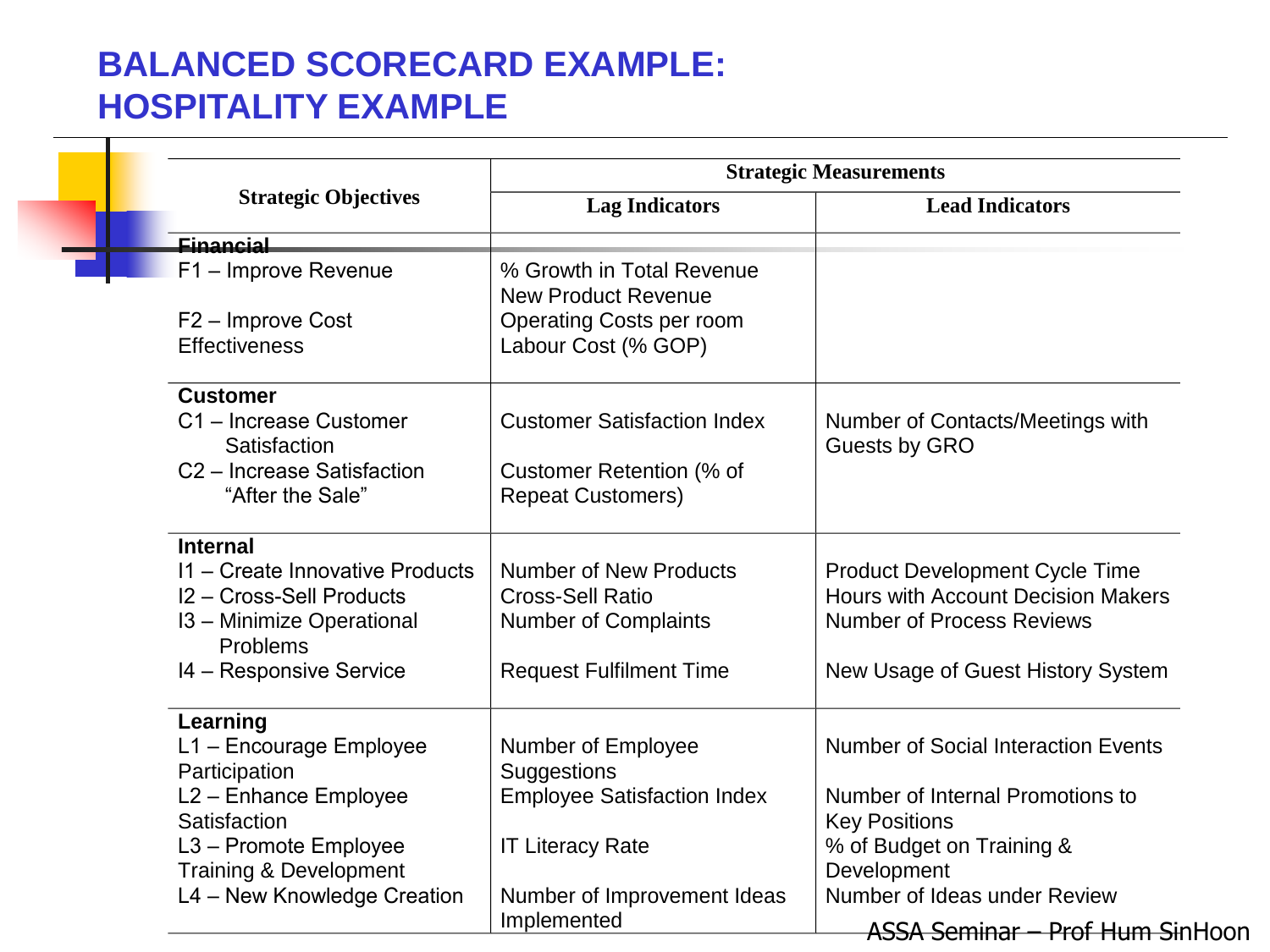#### **BALANCED SCORECARD EXAMPLE: HOSPITALITY EXAMPLE**

т

|                                        | <b>Strategic Measurements</b>      |                                            |  |  |
|----------------------------------------|------------------------------------|--------------------------------------------|--|--|
| <b>Strategic Objectives</b>            | <b>Lag Indicators</b>              | <b>Lead Indicators</b>                     |  |  |
| Einancial                              |                                    |                                            |  |  |
| F1 - Improve Revenue                   | % Growth in Total Revenue          |                                            |  |  |
|                                        | <b>New Product Revenue</b>         |                                            |  |  |
| F2 - Improve Cost                      | Operating Costs per room           |                                            |  |  |
| <b>Effectiveness</b>                   | Labour Cost (% GOP)                |                                            |  |  |
| <b>Customer</b>                        |                                    |                                            |  |  |
| C1 - Increase Customer                 | <b>Customer Satisfaction Index</b> | Number of Contacts/Meetings with           |  |  |
| Satisfaction                           |                                    | Guests by GRO                              |  |  |
| C <sub>2</sub> – Increase Satisfaction | Customer Retention (% of           |                                            |  |  |
| "After the Sale"                       | <b>Repeat Customers)</b>           |                                            |  |  |
| <b>Internal</b>                        |                                    |                                            |  |  |
| 11 - Create Innovative Products        | <b>Number of New Products</b>      | <b>Product Development Cycle Time</b>      |  |  |
| I2 - Cross-Sell Products               | <b>Cross-Sell Ratio</b>            | <b>Hours with Account Decision Makers</b>  |  |  |
| 13 - Minimize Operational<br>Problems  | <b>Number of Complaints</b>        | <b>Number of Process Reviews</b>           |  |  |
| 14 - Responsive Service                | <b>Request Fulfilment Time</b>     | New Usage of Guest History System          |  |  |
| Learning                               |                                    |                                            |  |  |
| L1 - Encourage Employee                | Number of Employee                 | <b>Number of Social Interaction Events</b> |  |  |
| Participation                          | <b>Suggestions</b>                 |                                            |  |  |
| L <sub>2</sub> – Enhance Employee      | <b>Employee Satisfaction Index</b> | Number of Internal Promotions to           |  |  |
| Satisfaction                           |                                    | <b>Key Positions</b>                       |  |  |
| L3 - Promote Employee                  | <b>IT Literacy Rate</b>            | % of Budget on Training &                  |  |  |
| <b>Training &amp; Development</b>      |                                    | Development                                |  |  |
| L4 - New Knowledge Creation            | Number of Improvement Ideas        | Number of Ideas under Review               |  |  |
|                                        | Implemented                        | ASSA Seminar - Prof Hum SinHoon            |  |  |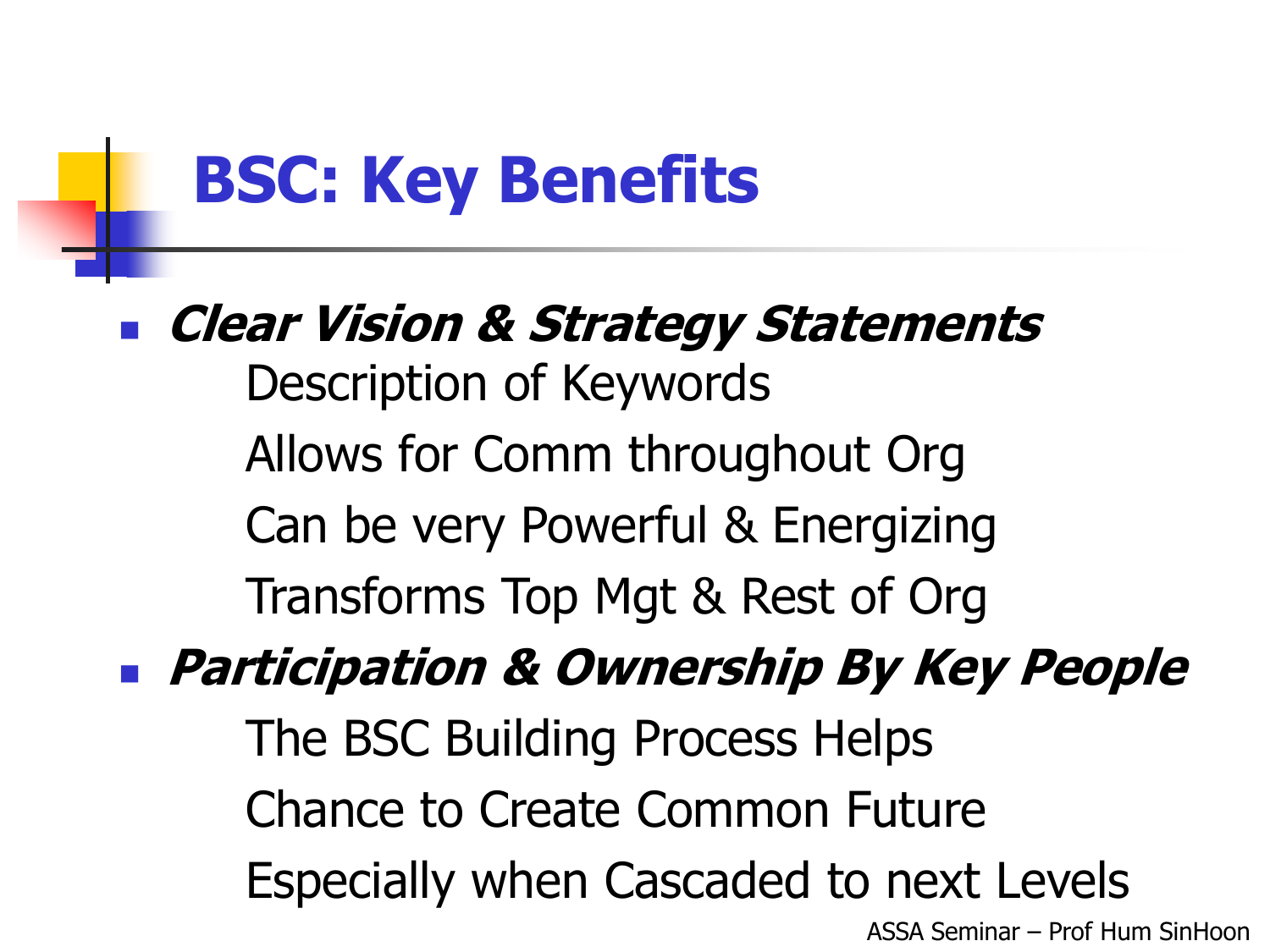## **BSC: Key Benefits**

## **Clear Vision & Strategy Statements** Description of Keywords Allows for Comm throughout Org Can be very Powerful & Energizing Transforms Top Mgt & Rest of Org

### **Participation & Ownership By Key People**

ASSA Seminar – Prof Hum SinHoon The BSC Building Process Helps Chance to Create Common Future Especially when Cascaded to next Levels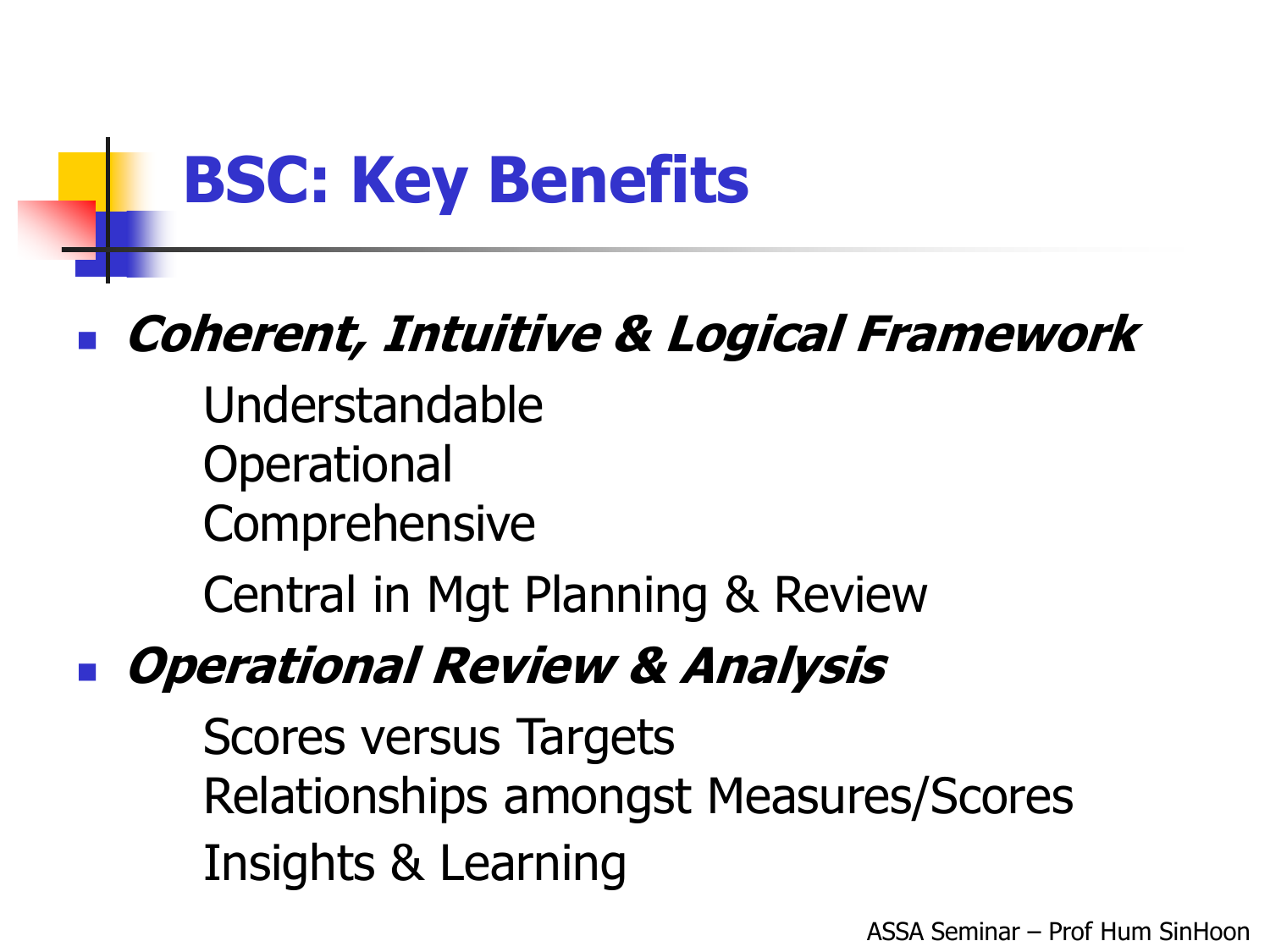## **BSC: Key Benefits**

### **Coherent, Intuitive & Logical Framework**

Understandable Operational Comprehensive

Central in Mgt Planning & Review

### **Operational Review & Analysis**

**Scores versus Targets Relationships amongst Measures/Scores** Insights & Learning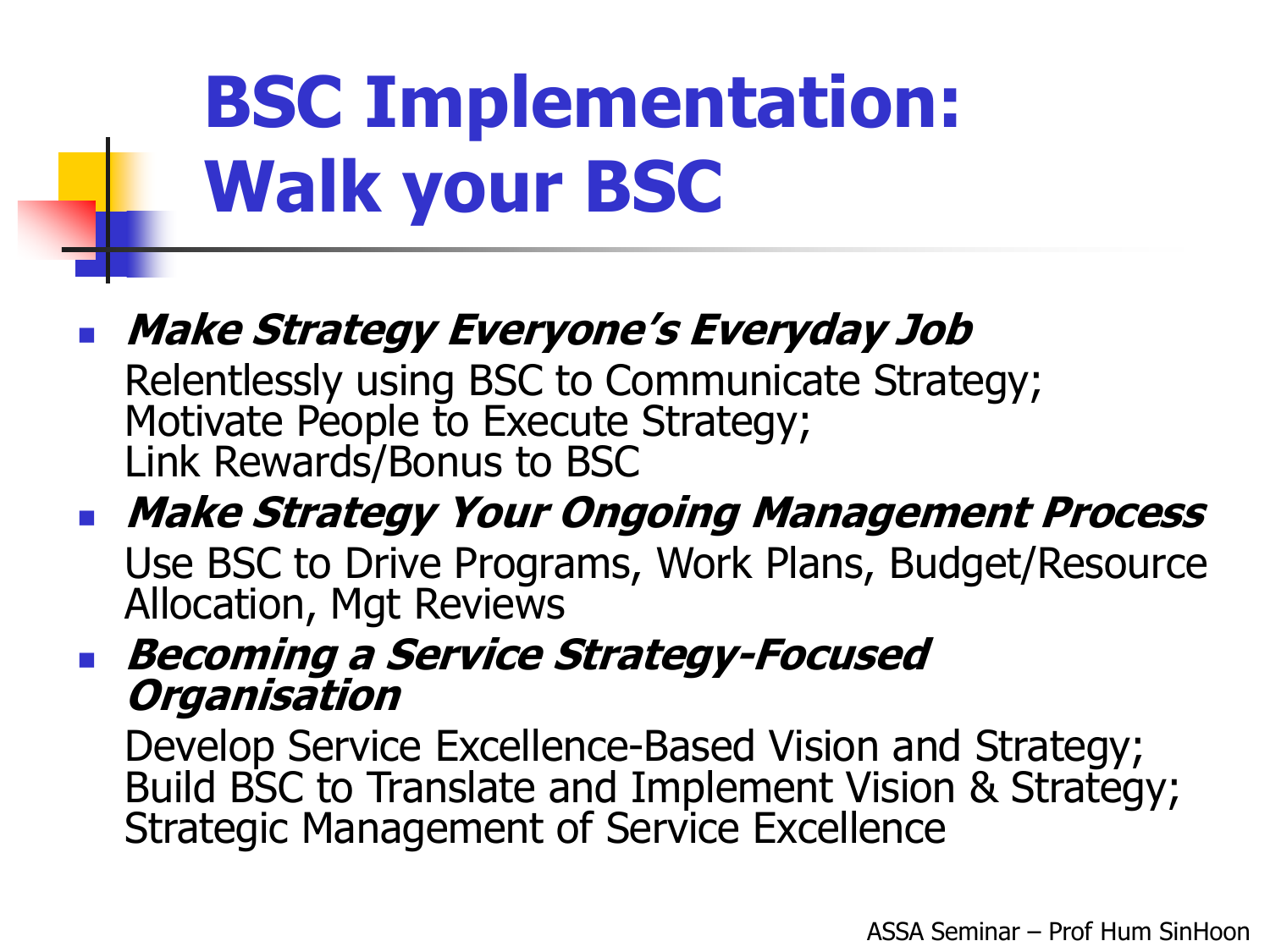# **BSC Implementation: Walk your BSC**

 **Make Strategy Everyone's Everyday Job** Relentlessly using BSC to Communicate Strategy; Motivate People to Execute Strategy; Link Rewards/Bonus to BSC

### **Make Strategy Your Ongoing Management Process**

Use BSC to Drive Programs, Work Plans, Budget/Resource Allocation, Mgt Reviews

#### **Becoming a Service Strategy-Focused Organisation**

Develop Service Excellence-Based Vision and Strategy; Build BSC to Translate and Implement Vision & Strategy; Strategic Management of Service Excellence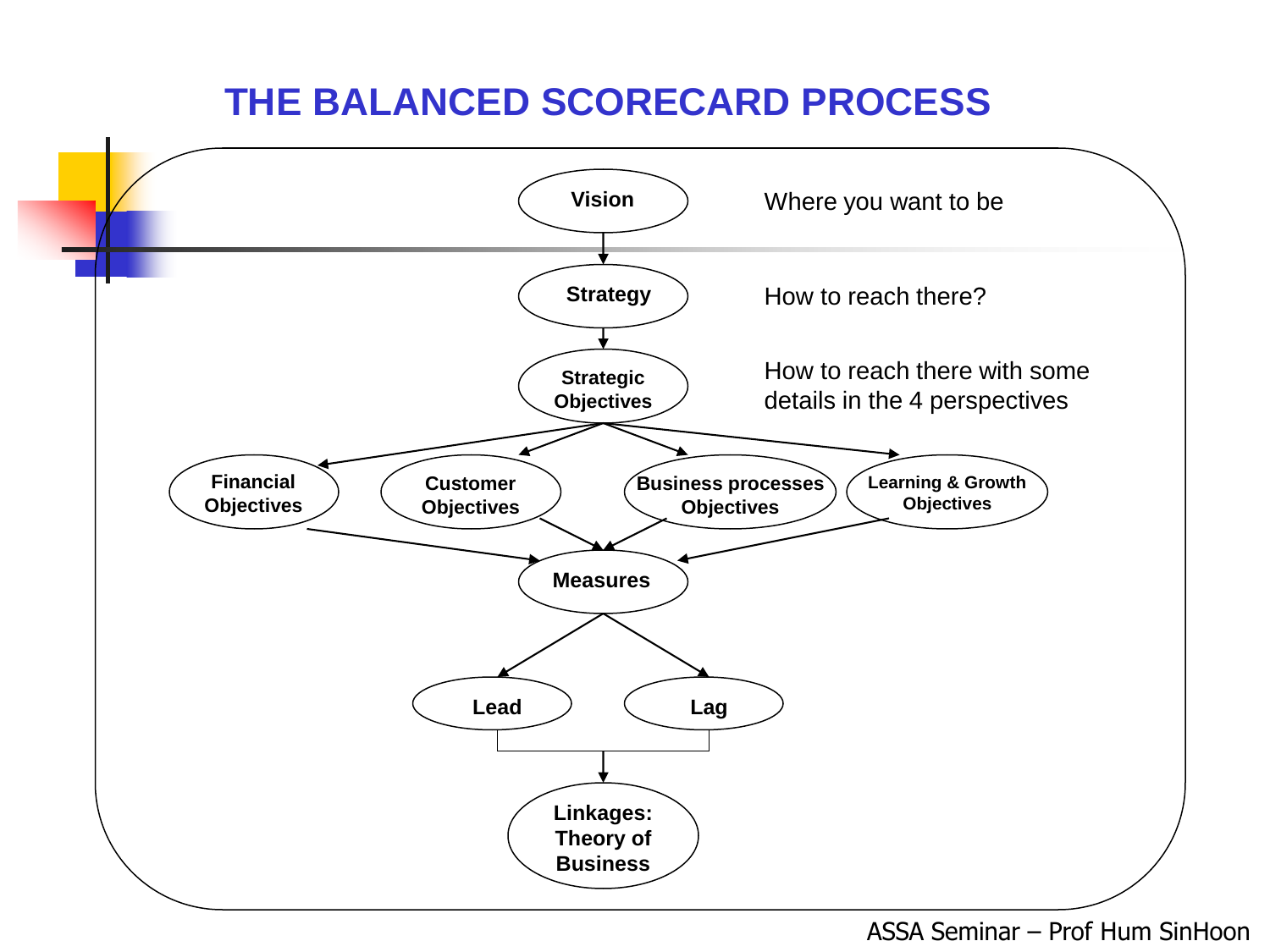#### **THE BALANCED SCORECARD PROCESS**

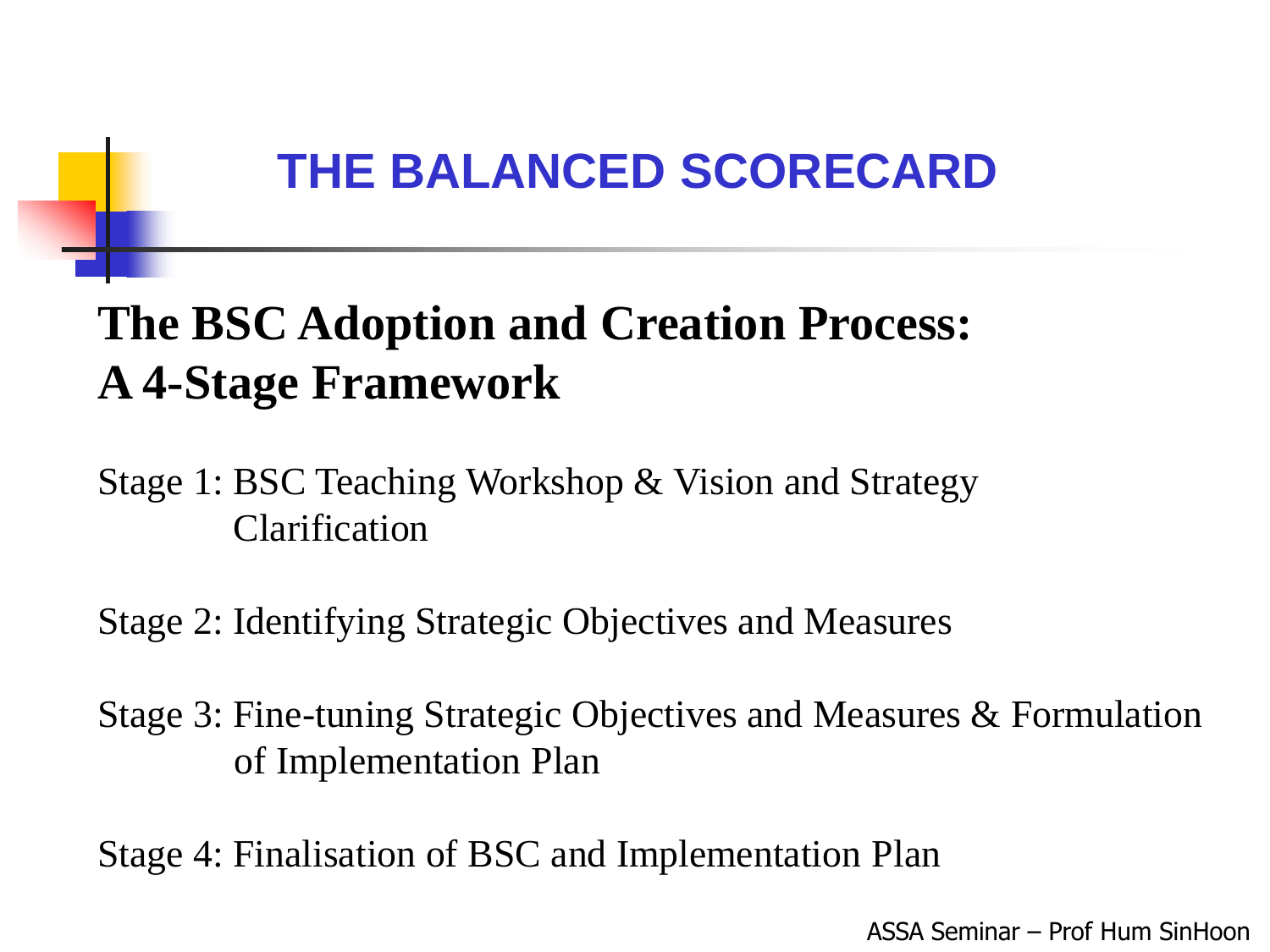### **The BSC Adoption and Creation Process: A 4-Stage Framework**

Stage 1: BSC Teaching Workshop & Vision and Strategy Clarification

Stage 2: Identifying Strategic Objectives and Measures

Stage 3: Fine-tuning Strategic Objectives and Measures & Formulation of Implementation Plan

Stage 4: Finalisation of BSC and Implementation Plan